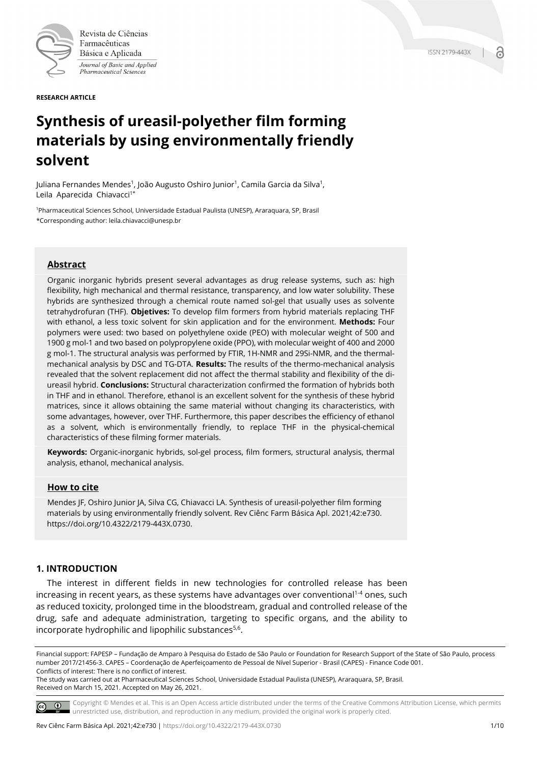

Revista de Ciências Farmacêuticas Básica e Aplicada Journal of Basic and Applied Pharmaceutical Sciences

**RESEARCH ARTICLE**

# **Synthesis of ureasil-polyether film forming materials by using environmentally friendly solvent**

Juliana Fernandes Mendes<sup>1</sup>, João Augusto Oshiro Junior<sup>1</sup>, Camila Garcia da Silva<sup>1</sup>, Leila Aparecida Chiavacci<sup>1\*</sup>

1Pharmaceutical Sciences School, Universidade Estadual Paulista (UNESP), Araraquara, SP, Brasil \*Corresponding author: leila.chiavacci@unesp.br

### **Abstract**

Organic inorganic hybrids present several advantages as drug release systems, such as: high flexibility, high mechanical and thermal resistance, transparency, and low water solubility. These hybrids are synthesized through a chemical route named sol-gel that usually uses as solvente tetrahydrofuran (THF). **Objetives:** To develop film formers from hybrid materials replacing THF with ethanol, a less toxic solvent for skin application and for the environment. **Methods:** Four polymers were used: two based on polyethylene oxide (PEO) with molecular weight of 500 and 1900 g mol-1 and two based on polypropylene oxide (PPO), with molecular weight of 400 and 2000 g mol-1. The structural analysis was performed by FTIR, 1H-NMR and 29Si-NMR, and the thermalmechanical analysis by DSC and TG-DTA. **Results:** The results of the thermo-mechanical analysis revealed that the solvent replacement did not affect the thermal stability and flexibility of the diureasil hybrid. **Conclusions:** Structural characterization confirmed the formation of hybrids both in THF and in ethanol. Therefore, ethanol is an excellent solvent for the synthesis of these hybrid matrices, since it allows obtaining the same material without changing its characteristics, with some advantages, however, over THF. Furthermore, this paper describes the efficiency of ethanol as a solvent, which is environmentally friendly, to replace THF in the physical-chemical characteristics of these filming former materials.

**Keywords:** Organic-inorganic hybrids, sol-gel process, film formers, structural analysis, thermal analysis, ethanol, mechanical analysis.

### **How to cite**

Mendes JF, Oshiro Junior JA, Silva CG, Chiavacci LA. Synthesis of ureasil-polyether film forming materials by using environmentally friendly solvent. Rev Ciênc Farm Básica Apl. 2021;42:e730. https://doi.org/10.4322/2179-443X.0730.

## **1. INTRODUCTION**

The interest in different fields in new technologies for controlled release has been increasing in recent years, as these systems have advantages over conventional<sup>14</sup> ones, such as reduced toxicity, prolonged time in the bloodstream, gradual and controlled release of the drug, safe and adequate administration, targeting to specific organs, and the ability to incorporate hydrophilic and lipophilic substances<sup>5,6</sup>.

Financial support: FAPESP – Fundação de Amparo à Pesquisa do Estado de São Paulo or Foundation for Research Support of the State of São Paulo, process number 2017/21456-3. CAPES – Coordenação de Aperfeiçoamento de Pessoal de Nível Superior - Brasil (CAPES) - Finance Code 001. Conflicts of interest: There is no conflict of interest.

The study was carried out at Pharmaceutical Sciences School, Universidade Estadual Paulista (UNESP), Araraquara, SP, Brasil. Received on March 15, 2021. Accepted on May 26, 2021.

Copyright © Mendes et al. This is an Open Access article distributed under the terms of the Creative Commons Attribution License, which permits  $\circ$   $\circ$ unrestricted use, distribution, and reproduction in any medium, provided the original work is properly cited.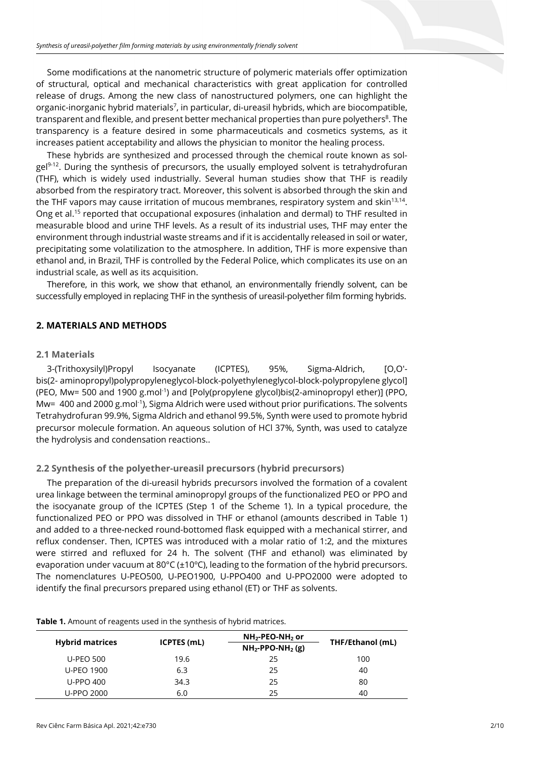Some modifications at the nanometric structure of polymeric materials offer optimization of structural, optical and mechanical characteristics with great application for controlled release of drugs. Among the new class of nanostructured polymers, one can highlight the organic-inorganic hybrid materials<sup>7</sup>, in particular, di-ureasil hybrids, which are biocompatible, transparent and flexible, and present better mechanical properties than pure polyethers<sup>8</sup>. The transparency is a feature desired in some pharmaceuticals and cosmetics systems, as it increases patient acceptability and allows the physician to monitor the healing process.

These hybrids are synthesized and processed through the chemical route known as sol $g e^{q^{3}+12}$ . During the synthesis of precursors, the usually employed solvent is tetrahydrofuran (THF), which is widely used industrially. Several human studies show that THF is readily absorbed from the respiratory tract. Moreover, this solvent is absorbed through the skin and the THF vapors may cause irritation of mucous membranes, respiratory system and skin<sup>13,14</sup>. Ong et al.15 reported that occupational exposures (inhalation and dermal) to THF resulted in measurable blood and urine THF levels. As a result of its industrial uses, THF may enter the environment through industrial waste streams and if it is accidentally released in soil or water, precipitating some volatilization to the atmosphere. In addition, THF is more expensive than ethanol and, in Brazil, THF is controlled by the Federal Police, which complicates its use on an industrial scale, as well as its acquisition.

Therefore, in this work, we show that ethanol, an environmentally friendly solvent, can be successfully employed in replacing THF in the synthesis of ureasil-polyether film forming hybrids.

### **2. MATERIALS AND METHODS**

#### **2.1 Materials**

3-(Trithoxysilyl)Propyl Isocyanate (ICPTES), 95%, Sigma-Aldrich, [O,O′ bis(2- aminopropyl)polypropyleneglycol-block-polyethyleneglycol-block-polypropylene glycol] (PEO, Mw= 500 and 1900 g.mol<sup>-1</sup>) and [Poly(propylene glycol)bis(2-aminopropyl ether)] (PPO, Mw= 400 and 2000 g.mol<sup>-1</sup>), Sigma Aldrich were used without prior purifications. The solvents Tetrahydrofuran 99.9%, Sigma Aldrich and ethanol 99.5%, Synth were used to promote hybrid precursor molecule formation. An aqueous solution of HCl 37%, Synth, was used to catalyze the hydrolysis and condensation reactions..

### **2.2 Synthesis of the polyether-ureasil precursors (hybrid precursors)**

The preparation of the di-ureasil hybrids precursors involved the formation of a covalent urea linkage between the terminal aminopropyl groups of the functionalized PEO or PPO and the isocyanate group of the ICPTES (Step 1 of the Scheme 1). In a typical procedure, the functionalized PEO or PPO was dissolved in THF or ethanol (amounts described in Table 1) and added to a three-necked round-bottomed flask equipped with a mechanical stirrer, and reflux condenser. Then, ICPTES was introduced with a molar ratio of 1:2, and the mixtures were stirred and refluxed for 24 h. The solvent (THF and ethanol) was eliminated by evaporation under vacuum at 80°C (±10ºC), leading to the formation of the hybrid precursors. The nomenclatures U-PEO500, U-PEO1900, U-PPO400 and U-PPO2000 were adopted to identify the final precursors prepared using ethanol (ET) or THF as solvents.

#### **Table 1.** Amount of reagents used in the synthesis of hybrid matrices.

| <b>Hybrid matrices</b> | <b>ICPTES</b> (mL) | $NH2$ -PEO-NH <sub>2</sub> or<br>THF/Ethanol (mL)<br>$NH2-PPO-NH2(g)$ |     |  |  |
|------------------------|--------------------|-----------------------------------------------------------------------|-----|--|--|
|                        |                    |                                                                       |     |  |  |
| <b>U-PEO 500</b>       | 19.6               | 25                                                                    | 100 |  |  |
| U-PEO 1900             | 6.3                | 25                                                                    | 40  |  |  |
| U-PPO 400              | 34.3               | 25                                                                    | 80  |  |  |
| U-PPO 2000             | 6.0                | 25                                                                    | 40  |  |  |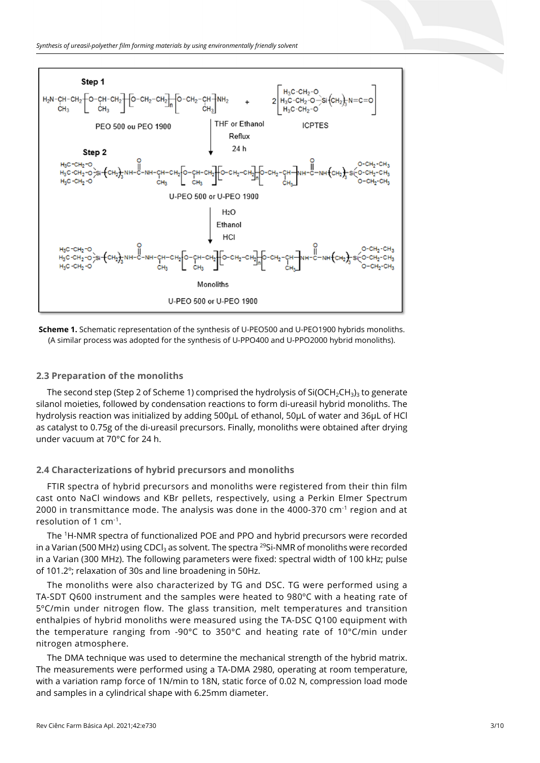



### **2.3 Preparation of the monoliths**

The second step (Step 2 of Scheme 1) comprised the hydrolysis of Si(OCH<sub>2</sub>CH<sub>3</sub>)<sub>3</sub> to generate silanol moieties, followed by condensation reactions to form di-ureasil hybrid monoliths. The hydrolysis reaction was initialized by adding 500µL of ethanol, 50µL of water and 36µL of HCl as catalyst to 0.75g of the di-ureasil precursors. Finally, monoliths were obtained after drying under vacuum at 70°C for 24 h.

### **2.4 Characterizations of hybrid precursors and monoliths**

FTIR spectra of hybrid precursors and monoliths were registered from their thin film cast onto NaCl windows and KBr pellets, respectively, using a Perkin Elmer Spectrum 2000 in transmittance mode. The analysis was done in the 4000-370 cm $^{-1}$  region and at resolution of 1 cm-1.

The 1 H-NMR spectra of functionalized POE and PPO and hybrid precursors were recorded in a Varian (500 MHz) using CDCl<sub>3</sub> as solvent. The spectra <sup>29</sup>Si-NMR of monoliths were recorded in a Varian (300 MHz). The following parameters were fixed: spectral width of 100 kHz; pulse of 101.2º; relaxation of 30s and line broadening in 50Hz.

The monoliths were also characterized by TG and DSC. TG were performed using a TA-SDT Q600 instrument and the samples were heated to 980ºC with a heating rate of 5ºC/min under nitrogen flow. The glass transition, melt temperatures and transition enthalpies of hybrid monoliths were measured using the TA-DSC Q100 equipment with the temperature ranging from -90°C to 350°C and heating rate of 10°C/min under nitrogen atmosphere.

The DMA technique was used to determine the mechanical strength of the hybrid matrix. The measurements were performed using a TA-DMA 2980, operating at room temperature, with a variation ramp force of 1N/min to 18N, static force of 0.02 N, compression load mode and samples in a cylindrical shape with 6.25mm diameter.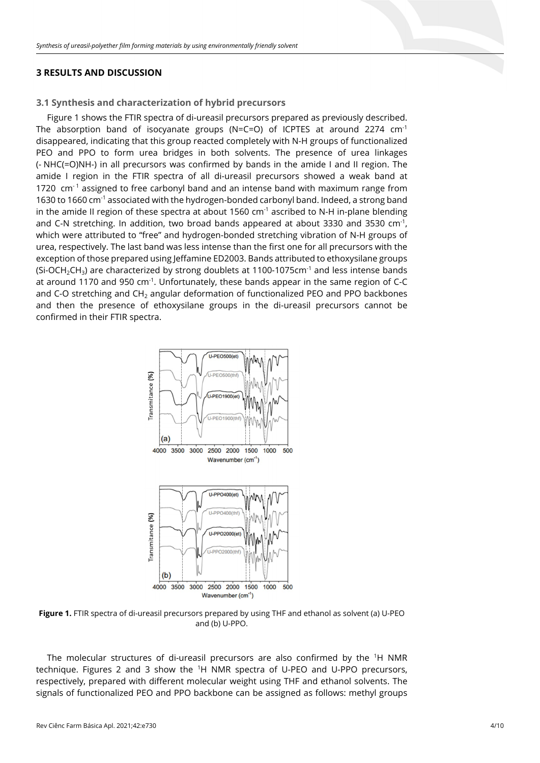## **3 RESULTS AND DISCUSSION**

#### **3.1 Synthesis and characterization of hybrid precursors**

Figure 1 shows the FTIR spectra of di-ureasil precursors prepared as previously described. The absorption band of isocyanate groups (N=C=O) of ICPTES at around 2274  $cm^{-1}$ disappeared, indicating that this group reacted completely with N-H groups of functionalized PEO and PPO to form urea bridges in both solvents. The presence of urea linkages (- NHC(=O)NH-) in all precursors was confirmed by bands in the amide I and II region. The amide I region in the FTIR spectra of all di-ureasil precursors showed a weak band at 1720  $cm^{-1}$  assigned to free carbonyl band and an intense band with maximum range from 1630 to 1660 cm-1 associated with the hydrogen-bonded carbonyl band. Indeed, a strong band in the amide II region of these spectra at about 1560  $cm<sup>-1</sup>$  ascribed to N-H in-plane blending and C-N stretching. In addition, two broad bands appeared at about 3330 and 3530 cm<sup>-1</sup>, which were attributed to "free" and hydrogen-bonded stretching vibration of N-H groups of urea, respectively. The last band was less intense than the first one for all precursors with the exception of those prepared using Jeffamine ED2003. Bands attributed to ethoxysilane groups  $(Si-OCH<sub>2</sub>CH<sub>3</sub>)$  are characterized by strong doublets at 1100-1075cm<sup>-1</sup> and less intense bands at around 1170 and 950 cm<sup>-1</sup>. Unfortunately, these bands appear in the same region of C-C and C-O stretching and  $CH<sub>2</sub>$  angular deformation of functionalized PEO and PPO backbones and then the presence of ethoxysilane groups in the di-ureasil precursors cannot be confirmed in their FTIR spectra.



**Figure 1.** FTIR spectra of di-ureasil precursors prepared by using THF and ethanol as solvent (a) U-PEO and (b) U-PPO.

The molecular structures of di-ureasil precursors are also confirmed by the <sup>1</sup>H NMR technique. Figures 2 and 3 show the <sup>1</sup>H NMR spectra of U-PEO and U-PPO precursors, respectively, prepared with different molecular weight using THF and ethanol solvents. The signals of functionalized PEO and PPO backbone can be assigned as follows: methyl groups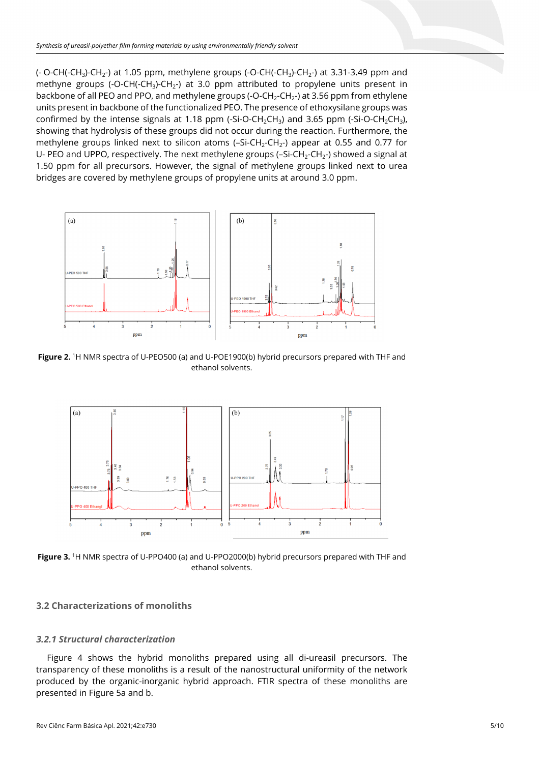$(-$  O-CH $(-CH<sub>3</sub>)$ -CH<sub>2</sub>-) at 1.05 ppm, methylene groups  $(-$ O-CH $(-CH<sub>3</sub>)$ -CH<sub>2</sub>-) at 3.31-3.49 ppm and methyne groups (-O-CH(-CH<sub>3</sub>)-CH<sub>2</sub>-) at 3.0 ppm attributed to propylene units present in backbone of all PEO and PPO, and methylene groups (-O-CH<sub>2</sub>-CH<sub>2</sub>-) at 3.56 ppm from ethylene units present in backbone of the functionalized PEO. The presence of ethoxysilane groups was confirmed by the intense signals at 1.18 ppm  $(-Si-O-CH<sub>2</sub>CH<sub>3</sub>)$  and 3.65 ppm  $(-Si-O-CH<sub>2</sub>CH<sub>3</sub>)$ , showing that hydrolysis of these groups did not occur during the reaction. Furthermore, the methylene groups linked next to silicon atoms  $(-Si-CH<sub>2</sub>-CH<sub>2</sub>)$  appear at 0.55 and 0.77 for U- PEO and UPPO, respectively. The next methylene groups (-Si-CH<sub>2</sub>-CH<sub>2</sub>-) showed a signal at 1.50 ppm for all precursors. However, the signal of methylene groups linked next to urea bridges are covered by methylene groups of propylene units at around 3.0 ppm.



**Figure 2.** 1H NMR spectra of U-PEO500 (a) and U-POE1900(b) hybrid precursors prepared with THF and ethanol solvents.



**Figure 3.** 1H NMR spectra of U-PPO400 (a) and U-PPO2000(b) hybrid precursors prepared with THF and ethanol solvents.

### **3.2 Characterizations of monoliths**

#### *3.2.1 Structural characterization*

Figure 4 shows the hybrid monoliths prepared using all di-ureasil precursors. The transparency of these monoliths is a result of the nanostructural uniformity of the network produced by the organic-inorganic hybrid approach. FTIR spectra of these monoliths are presented in Figure 5a and b.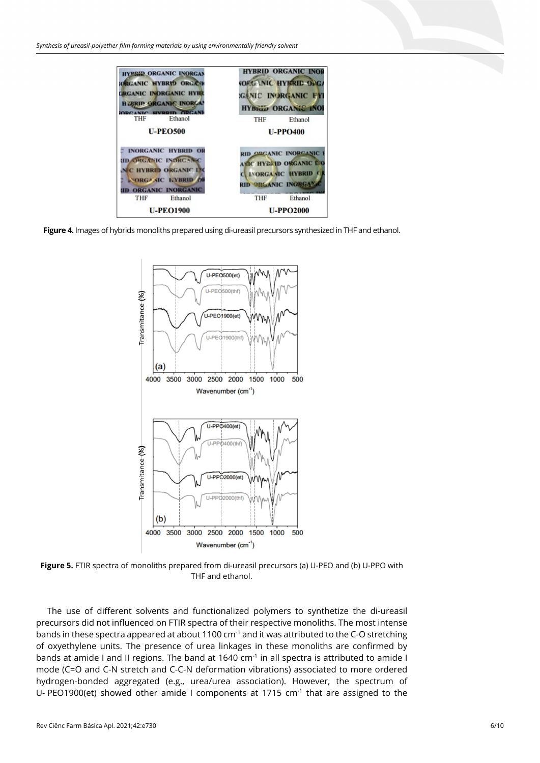

**Figure 4.** Images of hybrids monoliths prepared using di-ureasil precursors synthesized in THF and ethanol.



**Figure 5.** FTIR spectra of monoliths prepared from di-ureasil precursors (a) U-PEO and (b) U-PPO with THF and ethanol.

The use of different solvents and functionalized polymers to synthetize the di-ureasil precursors did not influenced on FTIR spectra of their respective monoliths. The most intense bands in these spectra appeared at about 1100  $cm^{-1}$  and it was attributed to the C-O stretching of oxyethylene units. The presence of urea linkages in these monoliths are confirmed by bands at amide I and II regions. The band at 1640  $cm<sup>-1</sup>$  in all spectra is attributed to amide I mode (C=O and C-N stretch and C-C-N deformation vibrations) associated to more ordered hydrogen-bonded aggregated (e.g., urea/urea association). However, the spectrum of U- PEO1900(et) showed other amide I components at 1715 cm<sup>-1</sup> that are assigned to the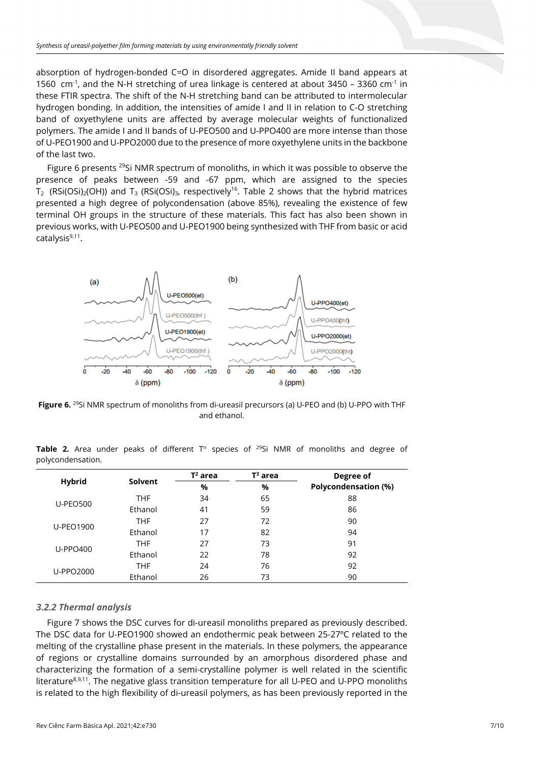absorption of hydrogen-bonded C=O in disordered aggregates. Amide II band appears at 1560 cm<sup>-1</sup>, and the N-H stretching of urea linkage is centered at about 3450 – 3360 cm<sup>-1</sup> in these FTIR spectra. The shift of the N-H stretching band can be attributed to intermolecular hydrogen bonding. In addition, the intensities of amide I and II in relation to C-O stretching band of oxyethylene units are affected by average molecular weights of functionalized polymers. The amide I and II bands of U-PEO500 and U-PPO400 are more intense than those of U-PEO1900 and U-PPO2000 due to the presence of more oxyethylene units in the backbone of the last two.

Figure 6 presents <sup>29</sup>Si NMR spectrum of monoliths, in which it was possible to observe the presence of peaks between -59 and -67 ppm, which are assigned to the species T<sub>2</sub> (RSi(OSi)<sub>2</sub>(OH)) and T<sub>3</sub> (RSi(OSi)<sub>3</sub>, respectively<sup>16</sup>. Table 2 shows that the hybrid matrices presented a high degree of polycondensation (above 85%), revealing the existence of few terminal OH groups in the structure of these materials. This fact has also been shown in previous works, with U-PEO500 and U-PEO1900 being synthesized with THF from basic or acid catalysis<sup>9,11</sup>.



**Figure 6.** 29Si NMR spectrum of monoliths from di-ureasil precursors (a) U-PEO and (b) U-PPO with THF and ethanol.

|                   |  |  |  |  |  |  | <b>Table 2.</b> Area under peaks of different T <sup>n</sup> species of <sup>29</sup> Si NMR of monoliths and degree of |  |  |
|-------------------|--|--|--|--|--|--|-------------------------------------------------------------------------------------------------------------------------|--|--|
| polycondensation. |  |  |  |  |  |  |                                                                                                                         |  |  |

|                  |            | $T^2$ area | $T^3$ area | Degree of<br>Polycondensation (%) |  |  |
|------------------|------------|------------|------------|-----------------------------------|--|--|
| <b>Hybrid</b>    | Solvent    | %          | %          |                                   |  |  |
| <b>U-PEO500</b>  | <b>THF</b> | 34         | 65         | 88                                |  |  |
|                  | Ethanol    | 41         | 59         | 86                                |  |  |
| <b>U-PEO1900</b> | <b>THF</b> | 27         | 72         | 90                                |  |  |
|                  | Ethanol    | 17         | 82         | 94                                |  |  |
| <b>U-PPO400</b>  | <b>THF</b> | 27         | 73         | 91                                |  |  |
|                  | Ethanol    | 22         | 78         | 92                                |  |  |
| U-PPO2000        | <b>THF</b> | 24         | 76         | 92                                |  |  |
|                  | Ethanol    | 26         | 73         | 90                                |  |  |

### *3.2.2 Thermal analysis*

Figure 7 shows the DSC curves for di-ureasil monoliths prepared as previously described. The DSC data for U-PEO1900 showed an endothermic peak between 25-27ºC related to the melting of the crystalline phase present in the materials. In these polymers, the appearance of regions or crystalline domains surrounded by an amorphous disordered phase and characterizing the formation of a semi-crystalline polymer is well related in the scientific literature<sup>8,9,11</sup>. The negative glass transition temperature for all U-PEO and U-PPO monoliths is related to the high flexibility of di-ureasil polymers, as has been previously reported in the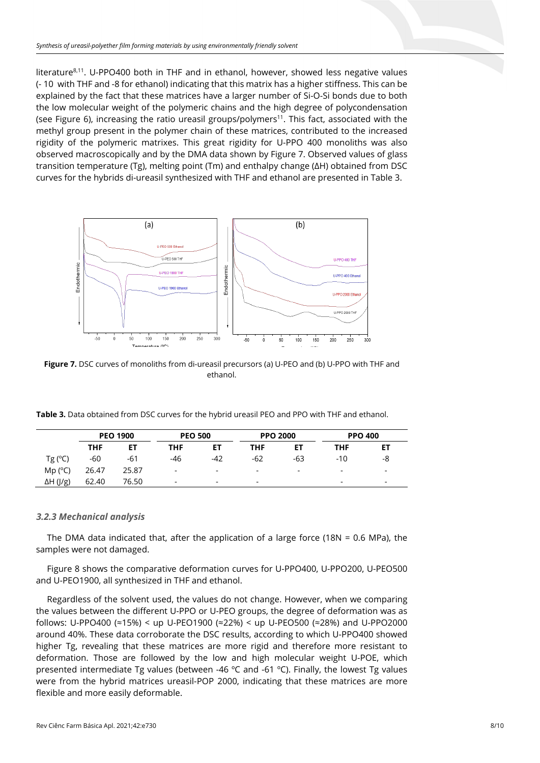literature<sup>8,11</sup>. U-PPO400 both in THF and in ethanol, however, showed less negative values (- 10 with THF and -8 for ethanol) indicating that this matrix has a higher stiffness. This can be explained by the fact that these matrices have a larger number of Si-O-Si bonds due to both the low molecular weight of the polymeric chains and the high degree of polycondensation (see Figure 6), increasing the ratio ureasil groups/polymers<sup>11</sup>. This fact, associated with the methyl group present in the polymer chain of these matrices, contributed to the increased rigidity of the polymeric matrixes. This great rigidity for U-PPO 400 monoliths was also observed macroscopically and by the DMA data shown by Figure 7. Observed values of glass transition temperature (Tg), melting point (Tm) and enthalpy change (∆H) obtained from DSC curves for the hybrids di-ureasil synthesized with THF and ethanol are presented in Table 3.



**Figure 7.** DSC curves of monoliths from di-ureasil precursors (a) U-PEO and (b) U-PPO with THF and ethanol.

**Table 3.** Data obtained from DSC curves for the hybrid ureasil PEO and PPO with THF and ethanol.

|                  | <b>PEO 1900</b> |           | <b>PEO 500</b> |     | <b>PPO 2000</b>          |     | <b>PPO 400</b>           |                          |  |
|------------------|-----------------|-----------|----------------|-----|--------------------------|-----|--------------------------|--------------------------|--|
|                  | <b>THF</b>      | <b>ET</b> | <b>THF</b>     | EТ  | THF                      | ET  | <b>THF</b>               | ET                       |  |
| $Tg(^{\circ}C)$  | $-60$           | -61       | -46            | -42 | $-62$                    | -63 | $-10$                    | -8                       |  |
| Mp (°C)          | 26.47           | 25.87     | ۰              | -   | $\overline{\phantom{a}}$ |     | $\overline{\phantom{0}}$ | $\overline{\phantom{0}}$ |  |
| $\Delta H$ (J/g) | 62.40           | 76.50     | -              | -   | $\overline{\phantom{a}}$ |     | -                        | $\overline{\phantom{0}}$ |  |

#### *3.2.3 Mechanical analysis*

The DMA data indicated that, after the application of a large force (18N = 0.6 MPa), the samples were not damaged.

Figure 8 shows the comparative deformation curves for U-PPO400, U-PPO200, U-PEO500 and U-PEO1900, all synthesized in THF and ethanol.

Regardless of the solvent used, the values do not change. However, when we comparing the values between the different U-PPO or U-PEO groups, the degree of deformation was as follows: U-PPO400 (≈15%) < up U-PEO1900 (≈22%) < up U-PEO500 (≈28%) and U-PPO2000 around 40%. These data corroborate the DSC results, according to which U-PPO400 showed higher Tg, revealing that these matrices are more rigid and therefore more resistant to deformation. Those are followed by the low and high molecular weight U-POE, which presented intermediate Tg values (between -46 ºC and -61 ºC). Finally, the lowest Tg values were from the hybrid matrices ureasil-POP 2000, indicating that these matrices are more flexible and more easily deformable.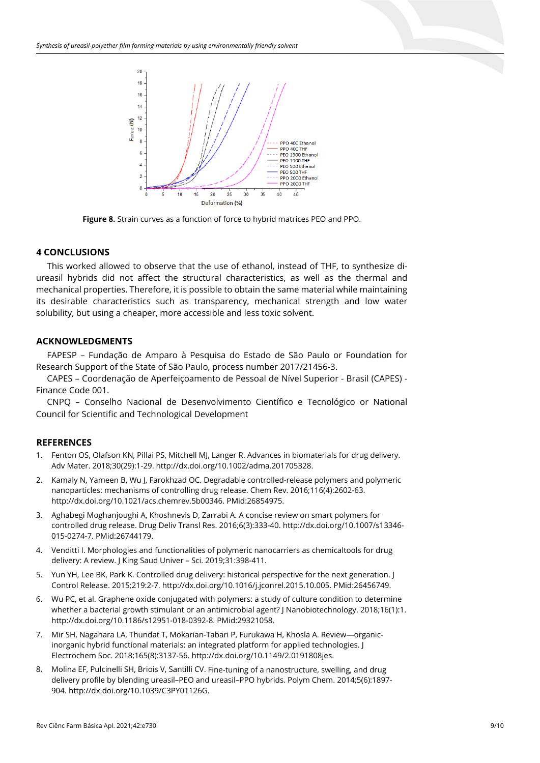

**Figure 8.** Strain curves as a function of force to hybrid matrices PEO and PPO.

# **4 CONCLUSIONS**

This worked allowed to observe that the use of ethanol, instead of THF, to synthesize diureasil hybrids did not affect the structural characteristics, as well as the thermal and mechanical properties. Therefore, it is possible to obtain the same material while maintaining its desirable characteristics such as transparency, mechanical strength and low water solubility, but using a cheaper, more accessible and less toxic solvent.

# **ACKNOWLEDGMENTS**

FAPESP – Fundação de Amparo à Pesquisa do Estado de São Paulo or Foundation for Research Support of the State of São Paulo, process number 2017/21456-3.

CAPES – Coordenação de Aperfeiçoamento de Pessoal de Nível Superior - Brasil (CAPES) - Finance Code 001.

CNPQ – Conselho Nacional de Desenvolvimento Científico e Tecnológico or National Council for Scientific and Technological Development

# **REFERENCES**

- 1. Fenton OS, Olafson KN, Pillai PS, Mitchell MJ, Langer R. Advances in biomaterials for drug delivery. Adv Mater. 2018;30(29):1-29. [http://dx.doi.org/10.1002/adma.201705328.](https://doi.org/10.1002/adma.201705328)
- 2. Kamaly N, Yameen B, Wu J, Farokhzad OC. Degradable controlled-release polymers and polymeric nanoparticles: mechanisms of controlling drug release. Chem Rev. 2016;116(4):2602-63. [http://dx.doi.org/10.1021/acs.chemrev.5b00346.](https://doi.org/10.1021/acs.chemrev.5b00346) [PMid:26854975.](https://www.ncbi.nlm.nih.gov/entrez/query.fcgi?cmd=Retrieve&db=PubMed&list_uids=26854975&dopt=Abstract)
- 3. Aghabegi Moghanjoughi A, Khoshnevis D, Zarrabi A. A concise review on smart polymers for controlled drug release. Drug Deliv Transl Res. 2016;6(3):333-40. [http://dx.doi.org/10.1007/s13346-](https://doi.org/10.1007/s13346-015-0274-7) [015-0274-7.](https://doi.org/10.1007/s13346-015-0274-7) [PMid:26744179.](https://www.ncbi.nlm.nih.gov/entrez/query.fcgi?cmd=Retrieve&db=PubMed&list_uids=26744179&dopt=Abstract)
- 4. Venditti I. Morphologies and functionalities of polymeric nanocarriers as chemicaltools for drug delivery: A review. J King Saud Univer – Sci. 2019;31:398-411.
- 5. Yun YH, Lee BK, Park K. Controlled drug delivery: historical perspective for the next generation. J Control Release. 2015;219:2-7. [http://dx.doi.org/10.1016/j.jconrel.2015.10.005.](https://doi.org/10.1016/j.jconrel.2015.10.005) [PMid:26456749.](https://www.ncbi.nlm.nih.gov/entrez/query.fcgi?cmd=Retrieve&db=PubMed&list_uids=26456749&dopt=Abstract)
- 6. Wu PC, et al. Graphene oxide conjugated with polymers: a study of culture condition to determine whether a bacterial growth stimulant or an antimicrobial agent? J Nanobiotechnology. 2018;16(1):1. [http://dx.doi.org/10.1186/s12951-018-0392-8.](https://doi.org/10.1186/s12951-018-0392-8) [PMid:29321058.](https://www.ncbi.nlm.nih.gov/entrez/query.fcgi?cmd=Retrieve&db=PubMed&list_uids=29321058&dopt=Abstract)
- 7. Mir SH, Nagahara LA, Thundat T, Mokarian-Tabari P, Furukawa H, Khosla A. Review—organicinorganic hybrid functional materials: an integrated platform for applied technologies. J Electrochem Soc. 2018;165(8):3137-56[. http://dx.doi.org/10.1149/2.0191808jes.](https://doi.org/10.1149/2.0191808jes)
- 8. Molina EF, Pulcinelli SH, Briois V, Santilli CV. Fine-tuning of a nanostructure, swelling, and drug delivery profile by blending ureasil–PEO and ureasil–PPO hybrids. Polym Chem. 2014;5(6):1897- 904. [http://dx.doi.org/10.1039/C3PY01126G.](https://doi.org/10.1039/C3PY01126G)